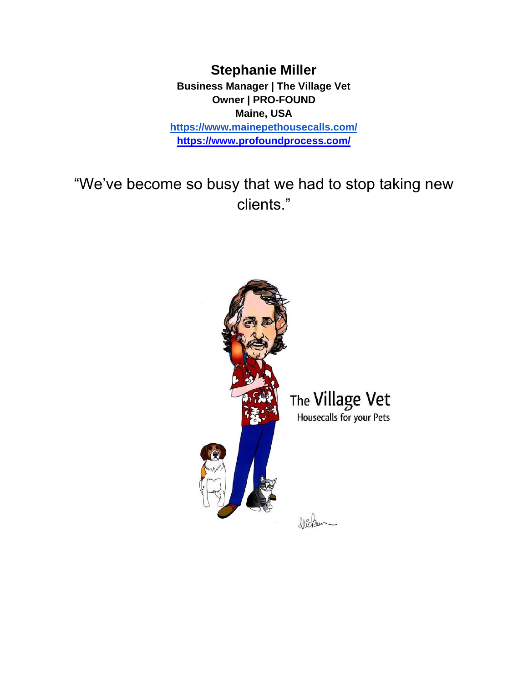**Stephanie Miller Business Manager | The Village Vet Owner | PRO-FOUND Maine, USA <https://www.mainepethousecalls.com/> <https://www.profoundprocess.com/>**

"We've become so busy that we had to stop taking new clients."

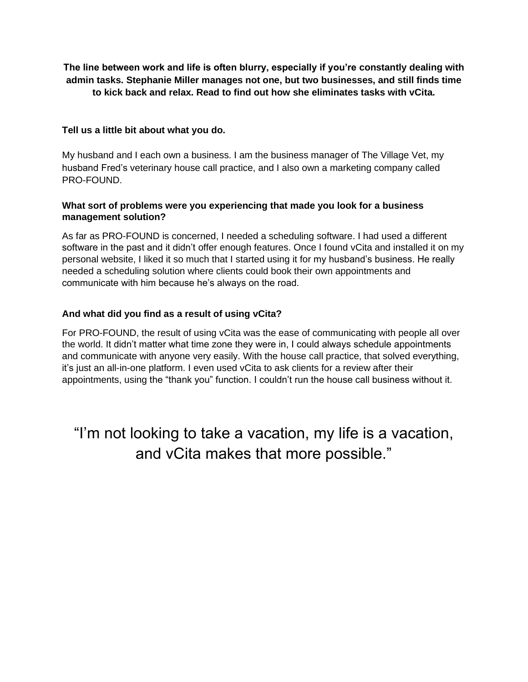**The line between work and life is often blurry, especially if you're constantly dealing with admin tasks. Stephanie Miller manages not one, but two businesses, and still finds time to kick back and relax. Read to find out how she eliminates tasks with vCita.**

### **Tell us a little bit about what you do.**

My husband and I each own a business. I am the business manager of The Village Vet, my husband Fred's veterinary house call practice, and I also own a marketing company called PRO-FOUND.

#### **What sort of problems were you experiencing that made you look for a business management solution?**

As far as PRO-FOUND is concerned, I needed a scheduling software. I had used a different software in the past and it didn't offer enough features. Once I found vCita and installed it on my personal website, I liked it so much that I started using it for my husband's business. He really needed a scheduling solution where clients could book their own appointments and communicate with him because he's always on the road.

### **And what did you find as a result of using vCita?**

For PRO-FOUND, the result of using vCita was the ease of communicating with people all over the world. It didn't matter what time zone they were in, I could always schedule appointments and communicate with anyone very easily. With the house call practice, that solved everything, it's just an all-in-one platform. I even used vCita to ask clients for a review after their appointments, using the "thank you" function. I couldn't run the house call business without it.

"I'm not looking to take a vacation, my life is a vacation, and vCita makes that more possible."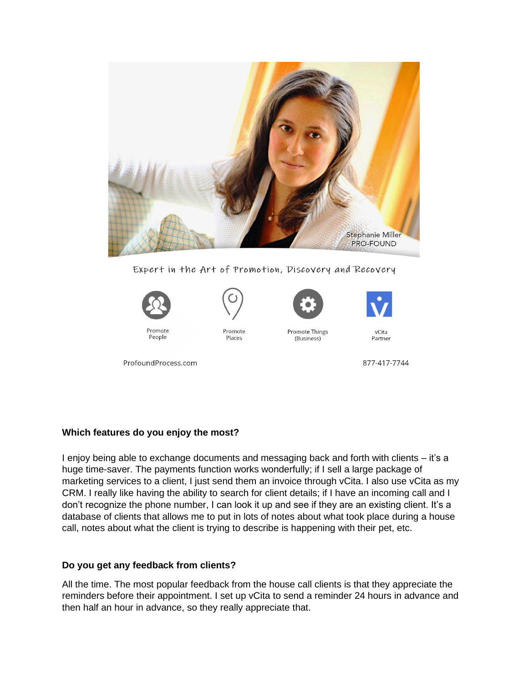

Expert in the Art of Promotion, Discovery and Recovery



Promote People





Promote Things (Business)



877-417-7744

ProfoundProcess.com

# **Which features do you enjoy the most?**

I enjoy being able to exchange documents and messaging back and forth with clients – it's a huge time-saver. The payments function works wonderfully; if I sell a large package of marketing services to a client, I just send them an invoice through vCita. I also use vCita as my CRM. I really like having the ability to search for client details; if I have an incoming call and I don't recognize the phone number, I can look it up and see if they are an existing client. It's a database of clients that allows me to put in lots of notes about what took place during a house call, notes about what the client is trying to describe is happening with their pet, etc.

# **Do you get any feedback from clients?**

All the time. The most popular feedback from the house call clients is that they appreciate the reminders before their appointment. I set up vCita to send a reminder 24 hours in advance and then half an hour in advance, so they really appreciate that.